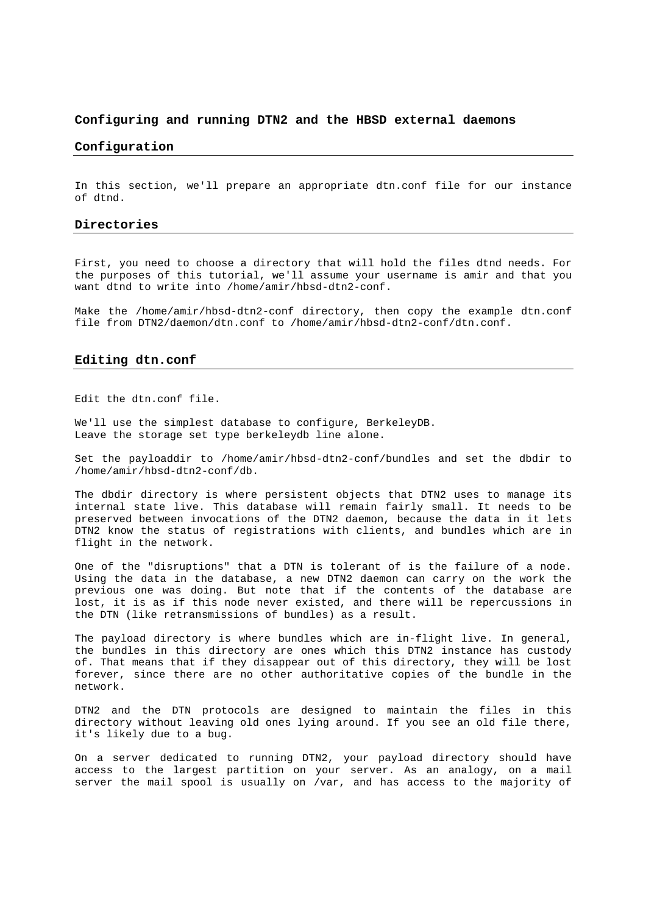# **Configuring and running DTN2 and the HBSD external daemons**

# **Configuration**

In this section, we'll prepare an appropriate dtn.conf file for our instance of dtnd.

# **Directories**

First, you need to choose a directory that will hold the files dtnd needs. For the purposes of this tutorial, we'll assume your username is amir and that you want dtnd to write into /home/amir/hbsd-dtn2-conf.

Make the /home/amir/hbsd-dtn2-conf directory, then copy the example dtn.conf file from DTN2/daemon/dtn.conf to /home/amir/hbsd-dtn2-conf/dtn.conf.

# **Editing dtn.conf**

Edit the dtn.conf file.

We'll use the simplest database to configure, BerkeleyDB. Leave the storage set type berkeleydb line alone.

Set the payloaddir to /home/amir/hbsd-dtn2-conf/bundles and set the dbdir to /home/amir/hbsd-dtn2-conf/db.

The dbdir directory is where persistent objects that DTN2 uses to manage its internal state live. This database will remain fairly small. It needs to be preserved between invocations of the DTN2 daemon, because the data in it lets DTN2 know the status of registrations with clients, and bundles which are in flight in the network.

One of the "disruptions" that a DTN is tolerant of is the failure of a node. Using the data in the database, a new DTN2 daemon can carry on the work the previous one was doing. But note that if the contents of the database are lost, it is as if this node never existed, and there will be repercussions in the DTN (like retransmissions of bundles) as a result.

The payload directory is where bundles which are in-flight live. In general, the bundles in this directory are ones which this DTN2 instance has custody of. That means that if they disappear out of this directory, they will be lost forever, since there are no other authoritative copies of the bundle in the network.

DTN2 and the DTN protocols are designed to maintain the files in this directory without leaving old ones lying around. If you see an old file there, it's likely due to a bug.

On a server dedicated to running DTN2, your payload directory should have access to the largest partition on your server. As an analogy, on a mail server the mail spool is usually on /var, and has access to the majority of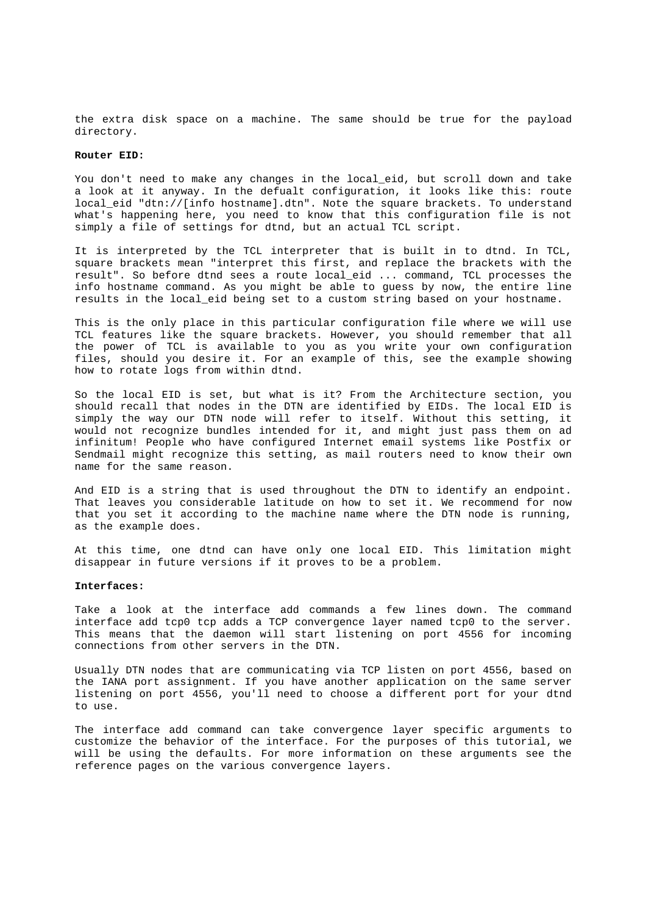the extra disk space on a machine. The same should be true for the payload directory.

#### **Router EID:**

You don't need to make any changes in the local eid, but scroll down and take a look at it anyway. In the defualt configuration, it looks like this: route local\_eid "dtn://[info hostname].dtn". Note the square brackets. To understand what's happening here, you need to know that this configuration file is not simply a file of settings for dtnd, but an actual TCL script.

It is interpreted by the TCL interpreter that is built in to dtnd. In TCL, square brackets mean "interpret this first, and replace the brackets with the result". So before dtnd sees a route local\_eid ... command, TCL processes the info hostname command. As you might be able to guess by now, the entire line results in the local\_eid being set to a custom string based on your hostname.

This is the only place in this particular configuration file where we will use TCL features like the square brackets. However, you should remember that all the power of TCL is available to you as you write your own configuration files, should you desire it. For an example of this, see the example showing how to rotate logs from within dtnd.

So the local EID is set, but what is it? From the Architecture section, you should recall that nodes in the DTN are identified by EIDs. The local EID is simply the way our DTN node will refer to itself. Without this setting, it would not recognize bundles intended for it, and might just pass them on ad infinitum! People who have configured Internet email systems like Postfix or Sendmail might recognize this setting, as mail routers need to know their own name for the same reason.

And EID is a string that is used throughout the DTN to identify an endpoint. That leaves you considerable latitude on how to set it. We recommend for now that you set it according to the machine name where the DTN node is running, as the example does.

At this time, one dtnd can have only one local EID. This limitation might disappear in future versions if it proves to be a problem.

#### **Interfaces:**

Take a look at the interface add commands a few lines down. The command interface add tcp0 tcp adds a TCP convergence layer named tcp0 to the server. This means that the daemon will start listening on port 4556 for incoming connections from other servers in the DTN.

Usually DTN nodes that are communicating via TCP listen on port 4556, based on the IANA port assignment. If you have another application on the same server listening on port 4556, you'll need to choose a different port for your dtnd to use.

The interface add command can take convergence layer specific arguments to customize the behavior of the interface. For the purposes of this tutorial, we will be using the defaults. For more information on these arguments see the reference pages on the various convergence layers.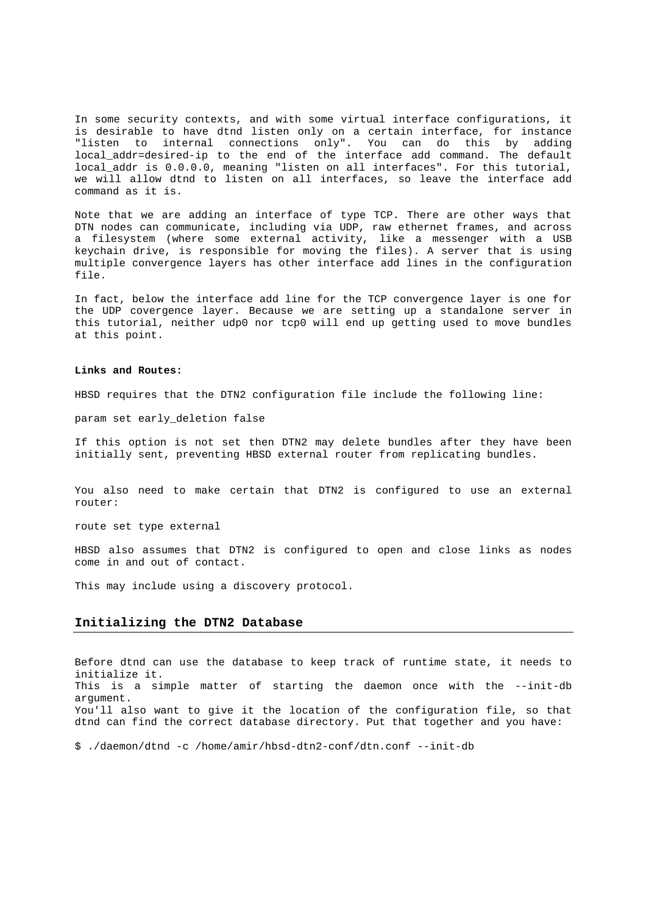In some security contexts, and with some virtual interface configurations, it is desirable to have dtnd listen only on a certain interface, for instance "listen to internal connections only". You can do this by adding local addr=desired-ip to the end of the interface add command. The default local\_addr is 0.0.0.0, meaning "listen on all interfaces". For this tutorial, we will allow dtnd to listen on all interfaces, so leave the interface add command as it is.

Note that we are adding an interface of type TCP. There are other ways that DTN nodes can communicate, including via UDP, raw ethernet frames, and across a filesystem (where some external activity, like a messenger with a USB keychain drive, is responsible for moving the files). A server that is using multiple convergence layers has other interface add lines in the configuration file.

In fact, below the interface add line for the TCP convergence layer is one for the UDP covergence layer. Because we are setting up a standalone server in this tutorial, neither udp0 nor tcp0 will end up getting used to move bundles at this point.

#### **Links and Routes:**

HBSD requires that the DTN2 configuration file include the following line:

param set early\_deletion false

If this option is not set then DTN2 may delete bundles after they have been initially sent, preventing HBSD external router from replicating bundles.

You also need to make certain that DTN2 is configured to use an external router:

route set type external

HBSD also assumes that DTN2 is configured to open and close links as nodes come in and out of contact.

This may include using a discovery protocol.

# **Initializing the DTN2 Database**

Before dtnd can use the database to keep track of runtime state, it needs to initialize it. This is a simple matter of starting the daemon once with the --init-db argument. You'll also want to give it the location of the configuration file, so that dtnd can find the correct database directory. Put that together and you have:

\$ ./daemon/dtnd -c /home/amir/hbsd-dtn2-conf/dtn.conf --init-db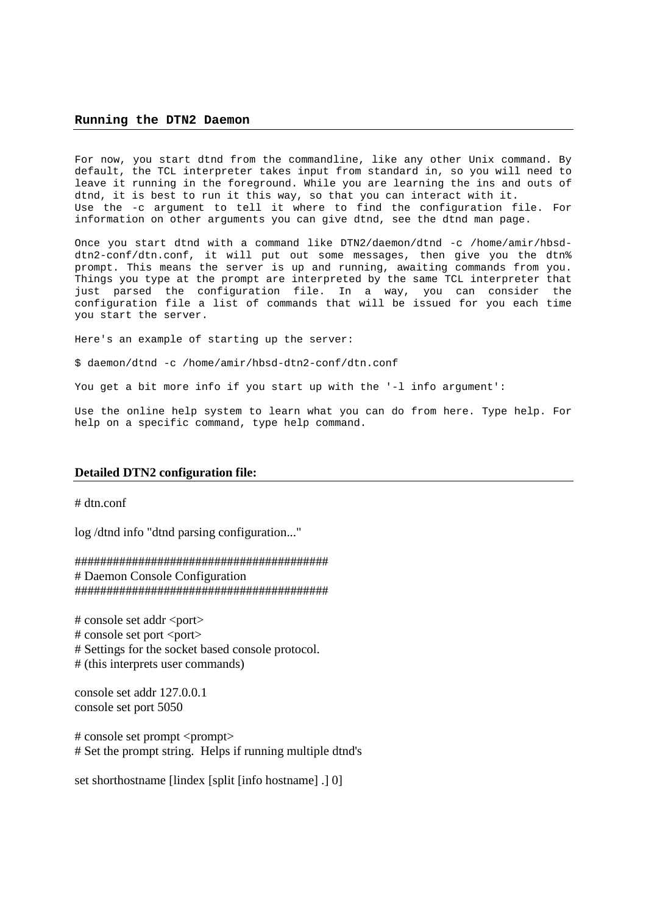#### **Running the DTN2 Daemon**

For now, you start dtnd from the commandline, like any other Unix command. By default, the TCL interpreter takes input from standard in, so you will need to leave it running in the foreground. While you are learning the ins and outs of dtnd, it is best to run it this way, so that you can interact with it. Use the -c argument to tell it where to find the configuration file. For information on other arguments you can give dtnd, see the dtnd man page.

Once you start dtnd with a command like DTN2/daemon/dtnd -c /home/amir/hbsddtn2-conf/dtn.conf, it will put out some messages, then give you the dtn% prompt. This means the server is up and running, awaiting commands from you. Things you type at the prompt are interpreted by the same TCL interpreter that just parsed the configuration file. In a way, you can consider the configuration file a list of commands that will be issued for you each time you start the server.

Here's an example of starting up the server:

\$ daemon/dtnd -c /home/amir/hbsd-dtn2-conf/dtn.conf

You get a bit more info if you start up with the '-l info argument':

Use the online help system to learn what you can do from here. Type help. For help on a specific command, type help command.

# **Detailed DTN2 configuration file:**

# dtn.conf

log /dtnd info "dtnd parsing configuration..."

######################################## # Daemon Console Configuration ########################################

# console set addr <port> # console set port <port> # Settings for the socket based console protocol. # (this interprets user commands)

console set addr 127.0.0.1 console set port 5050

# console set prompt <prompt> # Set the prompt string. Helps if running multiple dtnd's

set shorthostname [lindex [split [info hostname] .] 0]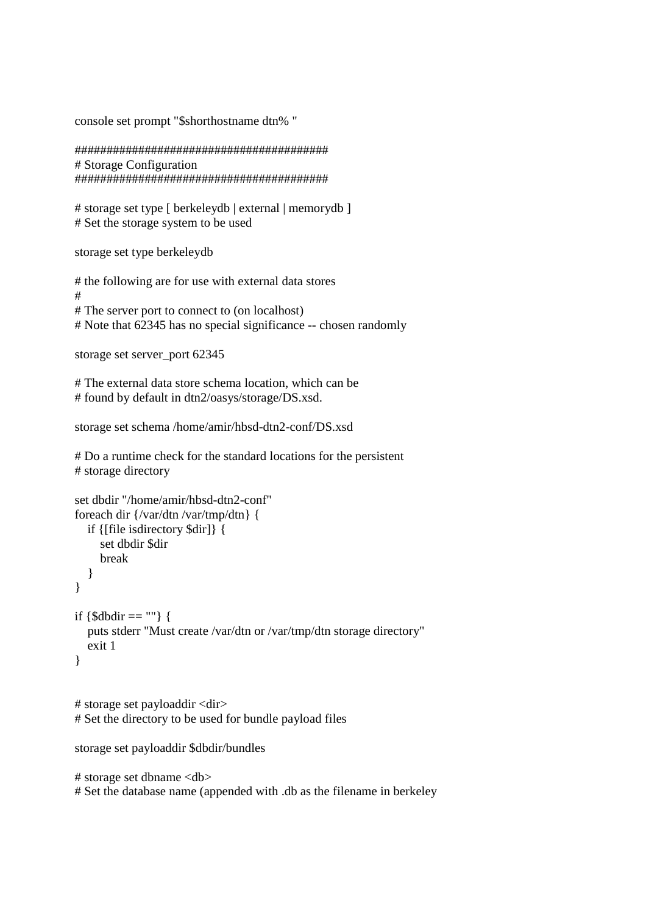console set prompt "\$shorthostname dtn% "

######################################## # Storage Configuration ########################################

# storage set type [ berkeleydb | external | memorydb ] # Set the storage system to be used

storage set type berkeleydb

# the following are for use with external data stores # # The server port to connect to (on localhost) # Note that 62345 has no special significance -- chosen randomly

```
storage set server_port 62345
```
# The external data store schema location, which can be # found by default in dtn2/oasys/storage/DS.xsd.

```
storage set schema /home/amir/hbsd-dtn2-conf/DS.xsd
```
# Do a runtime check for the standard locations for the persistent # storage directory

```
set dbdir "/home/amir/hbsd-dtn2-conf" 
foreach dir {/var/dtn /var/tmp/dtn} { 
   if {[file isdirectory $dir]} { 
      set dbdir $dir 
      break 
   } 
} 
if \{\$dbdir == ""\} puts stderr "Must create /var/dtn or /var/tmp/dtn storage directory" 
   exit 1 
}
```
# storage set payloaddir <dir> # Set the directory to be used for bundle payload files

```
storage set payloaddir $dbdir/bundles
```

```
# storage set dbname <db> 
# Set the database name (appended with .db as the filename in berkeley
```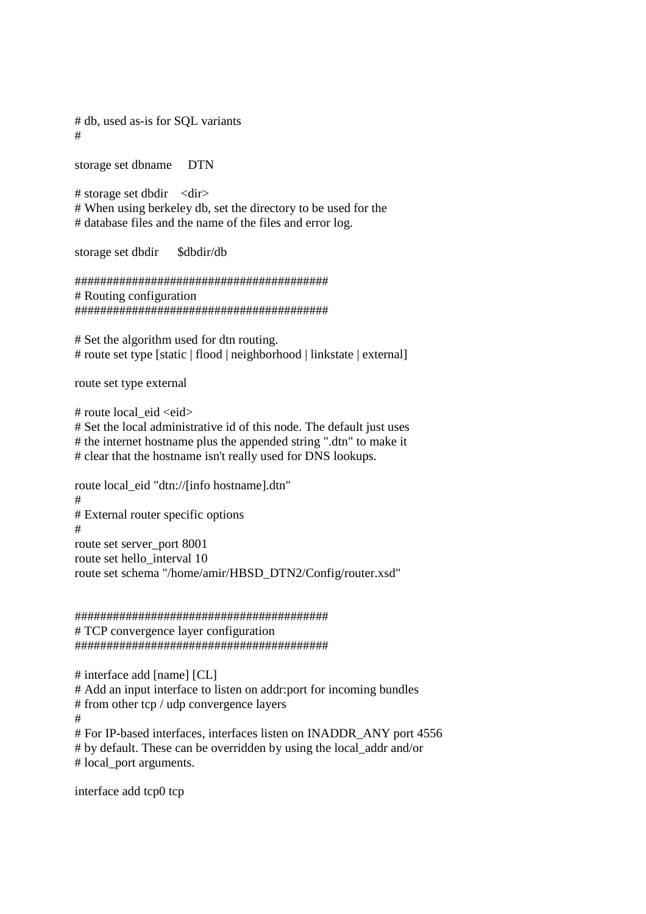# db, used as-is for SQL variants #

storage set dbname DTN

 $#$  storage set dbdir  $\langle \text{dir} \rangle$ # When using berkeley db, set the directory to be used for the # database files and the name of the files and error log.

storage set dbdir \$dbdir/db

######################################## # Routing configuration ########################################

# Set the algorithm used for dtn routing. # route set type [static | flood | neighborhood | linkstate | external]

route set type external

# route local eid <eid>

# Set the local administrative id of this node. The default just uses # the internet hostname plus the appended string ".dtn" to make it # clear that the hostname isn't really used for DNS lookups.

route local\_eid "dtn://[info hostname].dtn" # # External router specific options # route set server\_port 8001 route set hello\_interval 10 route set schema "/home/amir/HBSD\_DTN2/Config/router.xsd"

######################################## # TCP convergence layer configuration ########################################

# interface add [name] [CL]

# Add an input interface to listen on addr:port for incoming bundles

# from other tcp / udp convergence layers

#

# For IP-based interfaces, interfaces listen on INADDR\_ANY port 4556 # by default. These can be overridden by using the local\_addr and/or # local\_port arguments.

interface add tcp0 tcp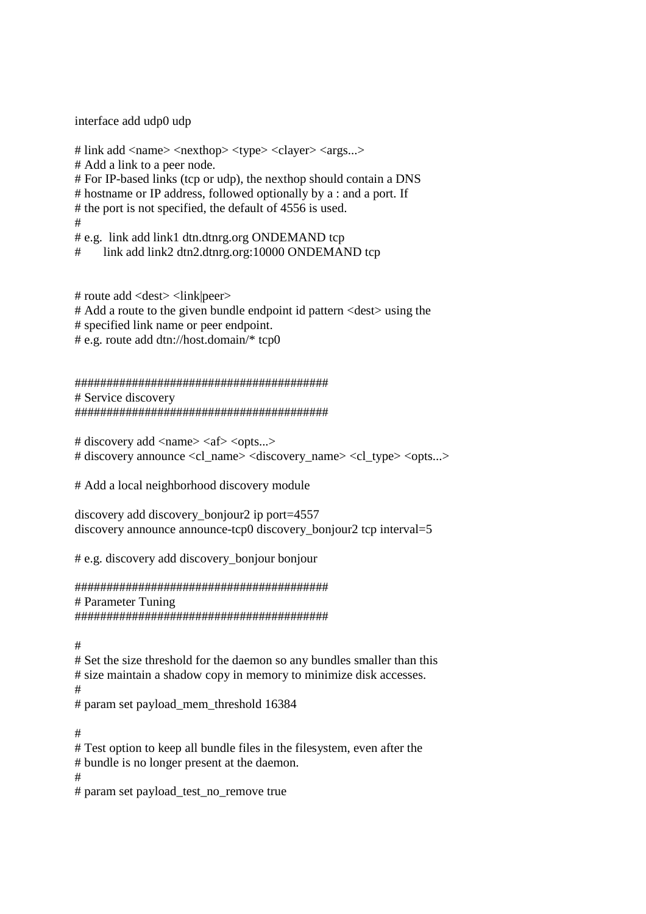interface add udp0 udp

# link add <name> <nexthop> <type> <clayer> <args...> # Add a link to a peer node. # For IP-based links (tcp or udp), the nexthop should contain a DNS # hostname or IP address, followed optionally by a : and a port. If # the port is not specified, the default of 4556 is used. # # e.g. link add link1 dtn.dtnrg.org ONDEMAND tcp link add link2 dtn2.dtnrg.org:10000 ONDEMAND tcp

# route add <dest> <link|peer> # Add a route to the given bundle endpoint id pattern <dest> using the # specified link name or peer endpoint. # e.g. route add dtn://host.domain/\* tcp0

######################################## # Service discovery ########################################

# discovery add <name> <af> <opts...> # discovery announce <cl\_name> <discovery\_name> <cl\_type> <opts...>

# Add a local neighborhood discovery module

discovery add discovery\_bonjour2 ip port=4557 discovery announce announce-tcp0 discovery bonjour2 tcp interval=5

# e.g. discovery add discovery\_bonjour bonjour

######################################## # Parameter Tuning ########################################

#

# Set the size threshold for the daemon so any bundles smaller than this # size maintain a shadow copy in memory to minimize disk accesses. # # param set payload\_mem\_threshold 16384

#

# Test option to keep all bundle files in the filesystem, even after the # bundle is no longer present at the daemon. #

# param set payload\_test\_no\_remove true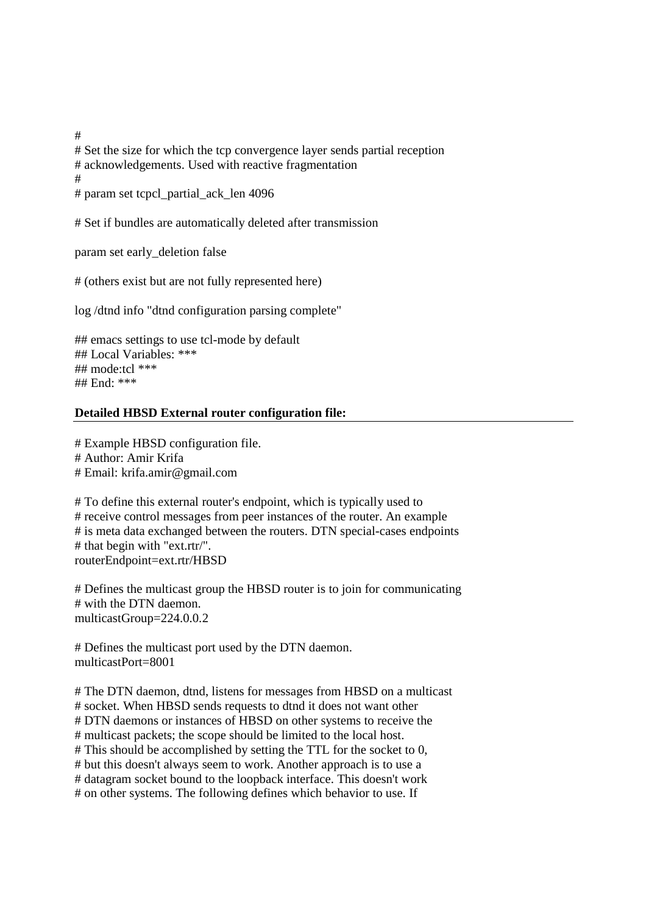# Set the size for which the tcp convergence layer sends partial reception # acknowledgements. Used with reactive fragmentation # # param set tcpcl\_partial\_ack\_len 4096

# Set if bundles are automatically deleted after transmission

param set early\_deletion false

# (others exist but are not fully represented here)

log /dtnd info "dtnd configuration parsing complete"

## emacs settings to use tcl-mode by default ## Local Variables: \*\*\* ## mode:tcl \*\*\* ## End: \*\*\*

# **Detailed HBSD External router configuration file:**

# Example HBSD configuration file. # Author: Amir Krifa # Email: krifa.amir@gmail.com

# To define this external router's endpoint, which is typically used to # receive control messages from peer instances of the router. An example # is meta data exchanged between the routers. DTN special-cases endpoints # that begin with "ext.rtr/". routerEndpoint=ext.rtr/HBSD

# Defines the multicast group the HBSD router is to join for communicating # with the DTN daemon. multicastGroup=224.0.0.2

# Defines the multicast port used by the DTN daemon. multicastPort=8001

# The DTN daemon, dtnd, listens for messages from HBSD on a multicast # socket. When HBSD sends requests to dtnd it does not want other # DTN daemons or instances of HBSD on other systems to receive the # multicast packets; the scope should be limited to the local host. # This should be accomplished by setting the TTL for the socket to 0, # but this doesn't always seem to work. Another approach is to use a # datagram socket bound to the loopback interface. This doesn't work # on other systems. The following defines which behavior to use. If

#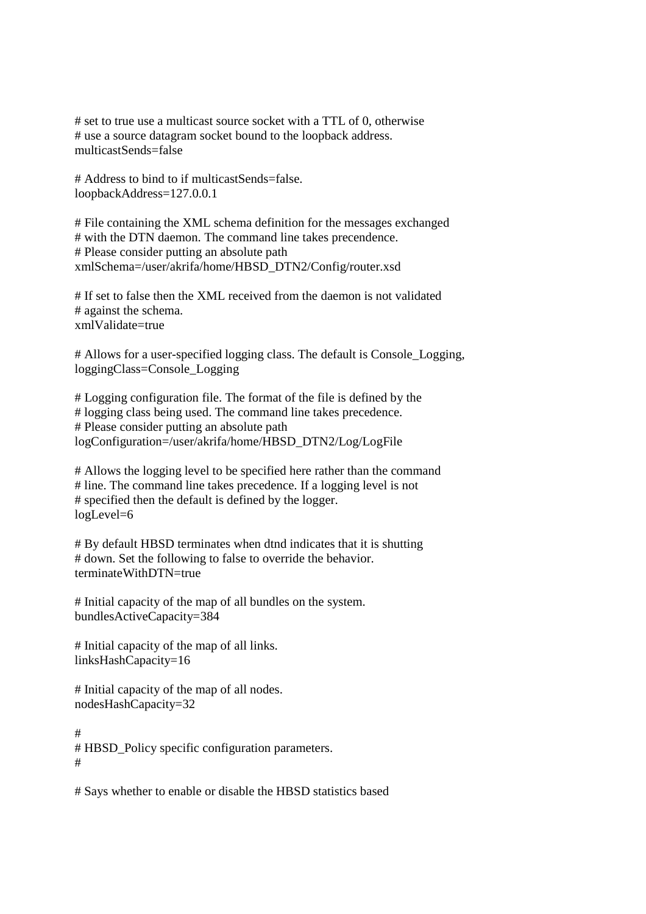# set to true use a multicast source socket with a TTL of 0, otherwise # use a source datagram socket bound to the loopback address. multicastSends=false

# Address to bind to if multicastSends=false. loopbackAddress=127.0.0.1

# File containing the XML schema definition for the messages exchanged # with the DTN daemon. The command line takes precendence. # Please consider putting an absolute path xmlSchema=/user/akrifa/home/HBSD\_DTN2/Config/router.xsd

# If set to false then the XML received from the daemon is not validated # against the schema. xmlValidate=true

# Allows for a user-specified logging class. The default is Console\_Logging, loggingClass=Console\_Logging

# Logging configuration file. The format of the file is defined by the # logging class being used. The command line takes precedence. # Please consider putting an absolute path logConfiguration=/user/akrifa/home/HBSD\_DTN2/Log/LogFile

# Allows the logging level to be specified here rather than the command # line. The command line takes precedence. If a logging level is not # specified then the default is defined by the logger. logLevel=6

# By default HBSD terminates when dtnd indicates that it is shutting # down. Set the following to false to override the behavior. terminateWithDTN=true

# Initial capacity of the map of all bundles on the system. bundlesActiveCapacity=384

# Initial capacity of the map of all links. linksHashCapacity=16

# Initial capacity of the map of all nodes. nodesHashCapacity=32

# # HBSD\_Policy specific configuration parameters. #

# Says whether to enable or disable the HBSD statistics based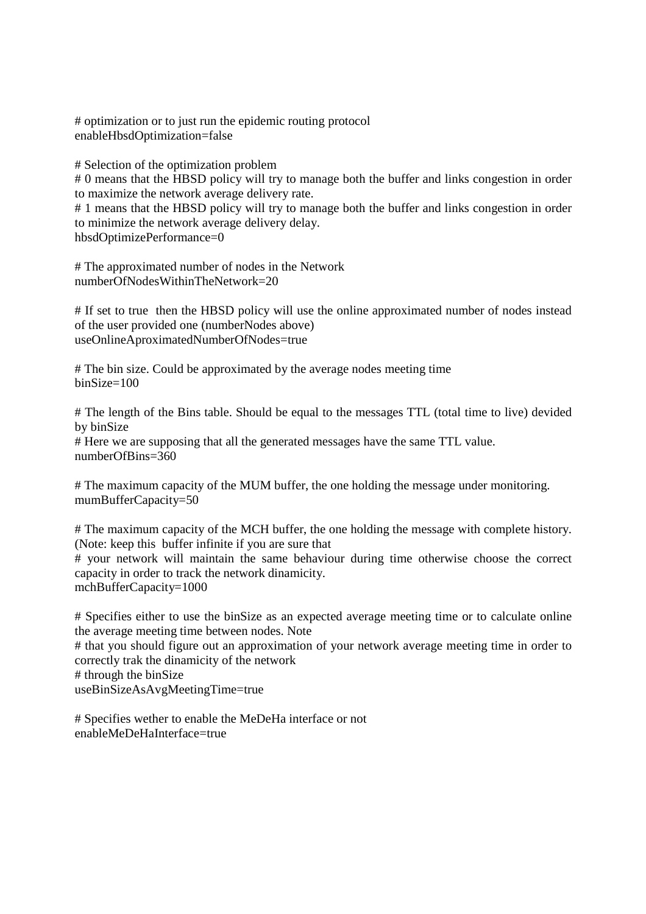# optimization or to just run the epidemic routing protocol enableHbsdOptimization=false

# Selection of the optimization problem

# 0 means that the HBSD policy will try to manage both the buffer and links congestion in order to maximize the network average delivery rate.

# 1 means that the HBSD policy will try to manage both the buffer and links congestion in order to minimize the network average delivery delay.

hbsdOptimizePerformance=0

# The approximated number of nodes in the Network numberOfNodesWithinTheNetwork=20

# If set to true then the HBSD policy will use the online approximated number of nodes instead of the user provided one (numberNodes above) useOnlineAproximatedNumberOfNodes=true

# The bin size. Could be approximated by the average nodes meeting time binSize=100

# The length of the Bins table. Should be equal to the messages TTL (total time to live) devided by binSize # Here we are supposing that all the generated messages have the same TTL value. numberOfBins=360

# The maximum capacity of the MUM buffer, the one holding the message under monitoring. mumBufferCapacity=50

# The maximum capacity of the MCH buffer, the one holding the message with complete history. (Note: keep this buffer infinite if you are sure that # your network will maintain the same behaviour during time otherwise choose the correct capacity in order to track the network dinamicity. mchBufferCapacity=1000

# Specifies either to use the binSize as an expected average meeting time or to calculate online the average meeting time between nodes. Note

# that you should figure out an approximation of your network average meeting time in order to correctly trak the dinamicity of the network

# through the binSize

useBinSizeAsAvgMeetingTime=true

# Specifies wether to enable the MeDeHa interface or not enableMeDeHaInterface=true